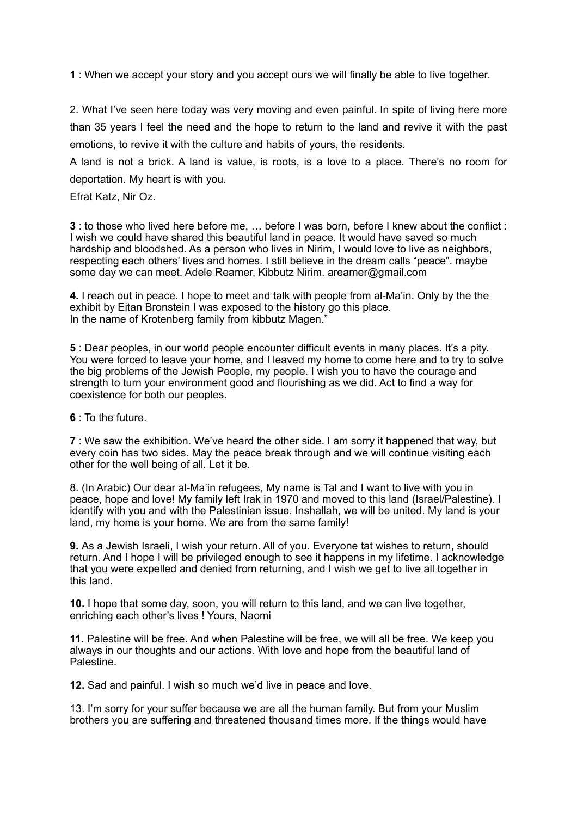**1** : When we accept your story and you accept ours we will finally be able to live together.

2. What I've seen here today was very moving and even painful. In spite of living here more than 35 years I feel the need and the hope to return to the land and revive it with the past emotions, to revive it with the culture and habits of yours, the residents.

A land is not a brick. A land is value, is roots, is a love to a place. There's no room for deportation. My heart is with you.

Efrat Katz, Nir Oz.

**3** : to those who lived here before me, … before I was born, before I knew about the conflict : I wish we could have shared this beautiful land in peace. It would have saved so much hardship and bloodshed. As a person who lives in Nirim, I would love to live as neighbors, respecting each others' lives and homes. I still believe in the dream calls "peace". maybe some day we can meet. Adele Reamer, Kibbutz Nirim. areamer@gmail.com

**4.** I reach out in peace. I hope to meet and talk with people from al-Ma'in. Only by the the exhibit by Eitan Bronstein I was exposed to the history go this place. In the name of Krotenberg family from kibbutz Magen."

**5** : Dear peoples, in our world people encounter difficult events in many places. It's a pity. You were forced to leave your home, and I leaved my home to come here and to try to solve the big problems of the Jewish People, my people. I wish you to have the courage and strength to turn your environment good and flourishing as we did. Act to find a way for coexistence for both our peoples.

**6** : To the future.

**7** : We saw the exhibition. We've heard the other side. I am sorry it happened that way, but every coin has two sides. May the peace break through and we will continue visiting each other for the well being of all. Let it be.

8. (In Arabic) Our dear al-Ma'in refugees, My name is Tal and I want to live with you in peace, hope and love! My family left Irak in 1970 and moved to this land (Israel/Palestine). I identify with you and with the Palestinian issue. Inshallah, we will be united. My land is your land, my home is your home. We are from the same family!

**9.** As a Jewish Israeli, I wish your return. All of you. Everyone tat wishes to return, should return. And I hope I will be privileged enough to see it happens in my lifetime. I acknowledge that you were expelled and denied from returning, and I wish we get to live all together in this land.

**10.** I hope that some day, soon, you will return to this land, and we can live together, enriching each other's lives ! Yours, Naomi

**11.** Palestine will be free. And when Palestine will be free, we will all be free. We keep you always in our thoughts and our actions. With love and hope from the beautiful land of Palestine.

**12.** Sad and painful. I wish so much we'd live in peace and love.

13. I'm sorry for your suffer because we are all the human family. But from your Muslim brothers you are suffering and threatened thousand times more. If the things would have